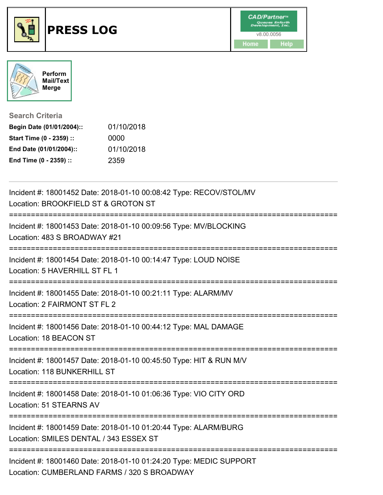



| <b>Search Criteria</b> |  |
|------------------------|--|
|------------------------|--|

| Begin Date (01/01/2004):: | 01/10/2018 |
|---------------------------|------------|
| Start Time (0 - 2359) ::  | 0000       |
| End Date (01/01/2004)::   | 01/10/2018 |
| End Time (0 - 2359) ::    | 2359       |

| Incident #: 18001452 Date: 2018-01-10 00:08:42 Type: RECOV/STOL/MV<br>Location: BROOKFIELD ST & GROTON ST                        |
|----------------------------------------------------------------------------------------------------------------------------------|
| Incident #: 18001453 Date: 2018-01-10 00:09:56 Type: MV/BLOCKING<br>Location: 483 S BROADWAY #21<br>:=========================== |
| Incident #: 18001454 Date: 2018-01-10 00:14:47 Type: LOUD NOISE<br>Location: 5 HAVERHILL ST FL 1                                 |
| Incident #: 18001455 Date: 2018-01-10 00:21:11 Type: ALARM/MV<br>Location: 2 FAIRMONT ST FL 2<br>---------------------           |
| Incident #: 18001456 Date: 2018-01-10 00:44:12 Type: MAL DAMAGE<br>Location: 18 BEACON ST                                        |
| Incident #: 18001457 Date: 2018-01-10 00:45:50 Type: HIT & RUN M/V<br>Location: 118 BUNKERHILL ST                                |
| Incident #: 18001458 Date: 2018-01-10 01:06:36 Type: VIO CITY ORD<br>Location: 51 STEARNS AV                                     |
| Incident #: 18001459 Date: 2018-01-10 01:20:44 Type: ALARM/BURG<br>Location: SMILES DENTAL / 343 ESSEX ST                        |
| Incident #: 18001460 Date: 2018-01-10 01:24:20 Type: MEDIC SUPPORT<br>Location: CUMBERLAND FARMS / 320 S BROADWAY                |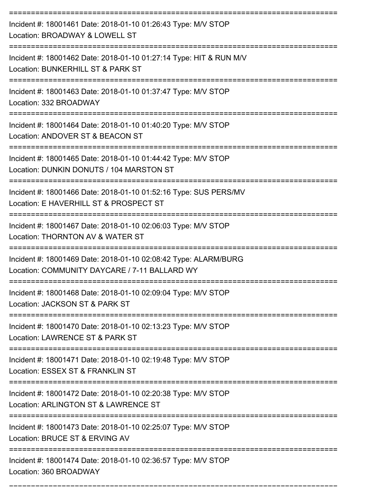| Incident #: 18001461 Date: 2018-01-10 01:26:43 Type: M/V STOP<br>Location: BROADWAY & LOWELL ST                                |
|--------------------------------------------------------------------------------------------------------------------------------|
| Incident #: 18001462 Date: 2018-01-10 01:27:14 Type: HIT & RUN M/V<br>Location: BUNKERHILL ST & PARK ST                        |
| Incident #: 18001463 Date: 2018-01-10 01:37:47 Type: M/V STOP<br>Location: 332 BROADWAY                                        |
| Incident #: 18001464 Date: 2018-01-10 01:40:20 Type: M/V STOP<br>Location: ANDOVER ST & BEACON ST                              |
| Incident #: 18001465 Date: 2018-01-10 01:44:42 Type: M/V STOP<br>Location: DUNKIN DONUTS / 104 MARSTON ST                      |
| Incident #: 18001466 Date: 2018-01-10 01:52:16 Type: SUS PERS/MV<br>Location: E HAVERHILL ST & PROSPECT ST                     |
| Incident #: 18001467 Date: 2018-01-10 02:06:03 Type: M/V STOP<br>Location: THORNTON AV & WATER ST                              |
| Incident #: 18001469 Date: 2018-01-10 02:08:42 Type: ALARM/BURG<br>Location: COMMUNITY DAYCARE / 7-11 BALLARD WY               |
| Incident #: 18001468 Date: 2018-01-10 02:09:04 Type: M/V STOP<br>Location: JACKSON ST & PARK ST                                |
| Incident #: 18001470 Date: 2018-01-10 02:13:23 Type: M/V STOP<br>Location: LAWRENCE ST & PARK ST                               |
| -------------------------<br>Incident #: 18001471 Date: 2018-01-10 02:19:48 Type: M/V STOP<br>Location: ESSEX ST & FRANKLIN ST |
| Incident #: 18001472 Date: 2018-01-10 02:20:38 Type: M/V STOP<br>Location: ARLINGTON ST & LAWRENCE ST                          |
| Incident #: 18001473 Date: 2018-01-10 02:25:07 Type: M/V STOP<br>Location: BRUCE ST & ERVING AV                                |
| Incident #: 18001474 Date: 2018-01-10 02:36:57 Type: M/V STOP<br>Location: 360 BROADWAY                                        |

===========================================================================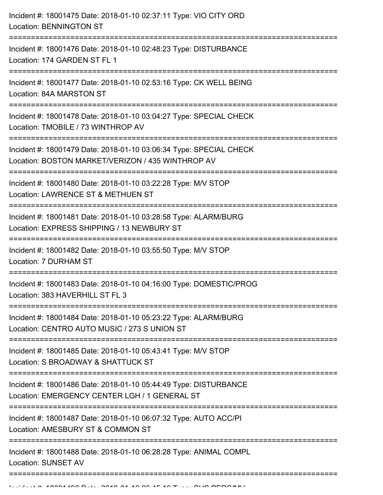| Incident #: 18001475 Date: 2018-01-10 02:37:11 Type: VIO CITY ORD<br><b>Location: BENNINGTON ST</b>                                   |
|---------------------------------------------------------------------------------------------------------------------------------------|
| Incident #: 18001476 Date: 2018-01-10 02:48:23 Type: DISTURBANCE<br>Location: 174 GARDEN ST FL 1                                      |
| Incident #: 18001477 Date: 2018-01-10 02:53:16 Type: CK WELL BEING<br>Location: 84A MARSTON ST                                        |
| Incident #: 18001478 Date: 2018-01-10 03:04:27 Type: SPECIAL CHECK<br>Location: TMOBILE / 73 WINTHROP AV                              |
| Incident #: 18001479 Date: 2018-01-10 03:06:34 Type: SPECIAL CHECK<br>Location: BOSTON MARKET/VERIZON / 435 WINTHROP AV               |
| Incident #: 18001480 Date: 2018-01-10 03:22:28 Type: M/V STOP<br>Location: LAWRENCE ST & METHUEN ST                                   |
| Incident #: 18001481 Date: 2018-01-10 03:28:58 Type: ALARM/BURG<br>Location: EXPRESS SHIPPING / 13 NEWBURY ST                         |
| Incident #: 18001482 Date: 2018-01-10 03:55:50 Type: M/V STOP<br>Location: 7 DURHAM ST                                                |
| Incident #: 18001483 Date: 2018-01-10 04:16:00 Type: DOMESTIC/PROG<br>Location: 383 HAVERHILL ST FL 3                                 |
| Incident #: 18001484 Date: 2018-01-10 05:23:22 Type: ALARM/BURG<br>Location: CENTRO AUTO MUSIC / 273 S UNION ST                       |
| Incident #: 18001485 Date: 2018-01-10 05:43:41 Type: M/V STOP<br>Location: S BROADWAY & SHATTUCK ST                                   |
| Incident #: 18001486 Date: 2018-01-10 05:44:49 Type: DISTURBANCE<br>Location: EMERGENCY CENTER LGH / 1 GENERAL ST                     |
| Incident #: 18001487 Date: 2018-01-10 06:07:32 Type: AUTO ACC/PI<br>Location: AMESBURY ST & COMMON ST                                 |
| ------------------<br>------------<br>Incident #: 18001488 Date: 2018-01-10 06:28:28 Type: ANIMAL COMPL<br><b>Location: SUNSET AV</b> |
|                                                                                                                                       |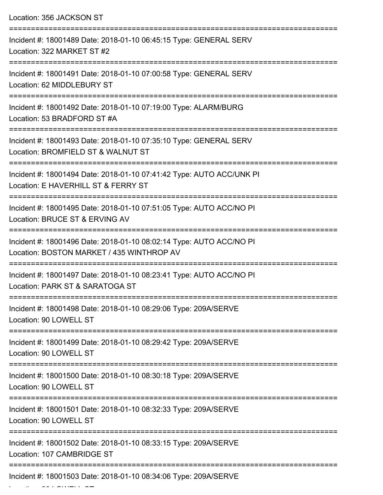| Location: 356 JACKSON ST                                                                                                                   |
|--------------------------------------------------------------------------------------------------------------------------------------------|
| Incident #: 18001489 Date: 2018-01-10 06:45:15 Type: GENERAL SERV<br>Location: 322 MARKET ST #2                                            |
| Incident #: 18001491 Date: 2018-01-10 07:00:58 Type: GENERAL SERV<br>Location: 62 MIDDLEBURY ST                                            |
| Incident #: 18001492 Date: 2018-01-10 07:19:00 Type: ALARM/BURG<br>Location: 53 BRADFORD ST #A                                             |
| Incident #: 18001493 Date: 2018-01-10 07:35:10 Type: GENERAL SERV<br>Location: BROMFIELD ST & WALNUT ST<br>_______________________________ |
| Incident #: 18001494 Date: 2018-01-10 07:41:42 Type: AUTO ACC/UNK PI<br>Location: E HAVERHILL ST & FERRY ST                                |
| Incident #: 18001495 Date: 2018-01-10 07:51:05 Type: AUTO ACC/NO PI<br>Location: BRUCE ST & ERVING AV                                      |
| Incident #: 18001496 Date: 2018-01-10 08:02:14 Type: AUTO ACC/NO PI<br>Location: BOSTON MARKET / 435 WINTHROP AV                           |
| Incident #: 18001497 Date: 2018-01-10 08:23:41 Type: AUTO ACC/NO PI<br>Location: PARK ST & SARATOGA ST                                     |
| Incident #: 18001498 Date: 2018-01-10 08:29:06 Type: 209A/SERVE<br>Location: 90 LOWELL ST                                                  |
| Incident #: 18001499 Date: 2018-01-10 08:29:42 Type: 209A/SERVE<br>Location: 90 LOWELL ST                                                  |
| Incident #: 18001500 Date: 2018-01-10 08:30:18 Type: 209A/SERVE<br>Location: 90 LOWELL ST                                                  |
| ====================<br>Incident #: 18001501 Date: 2018-01-10 08:32:33 Type: 209A/SERVE<br>Location: 90 LOWELL ST                          |
| Incident #: 18001502 Date: 2018-01-10 08:33:15 Type: 209A/SERVE<br>Location: 107 CAMBRIDGE ST                                              |
| Incident #: 18001503 Date: 2018-01-10 08:34:06 Type: 209A/SERVE                                                                            |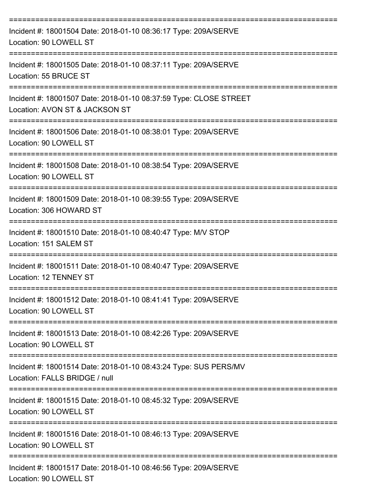| Incident #: 18001504 Date: 2018-01-10 08:36:17 Type: 209A/SERVE<br>Location: 90 LOWELL ST                                           |
|-------------------------------------------------------------------------------------------------------------------------------------|
| Incident #: 18001505 Date: 2018-01-10 08:37:11 Type: 209A/SERVE<br>Location: 55 BRUCE ST                                            |
| Incident #: 18001507 Date: 2018-01-10 08:37:59 Type: CLOSE STREET<br>Location: AVON ST & JACKSON ST                                 |
| Incident #: 18001506 Date: 2018-01-10 08:38:01 Type: 209A/SERVE<br>Location: 90 LOWELL ST                                           |
| Incident #: 18001508 Date: 2018-01-10 08:38:54 Type: 209A/SERVE<br>Location: 90 LOWELL ST                                           |
| Incident #: 18001509 Date: 2018-01-10 08:39:55 Type: 209A/SERVE<br>Location: 306 HOWARD ST                                          |
| Incident #: 18001510 Date: 2018-01-10 08:40:47 Type: M/V STOP<br>Location: 151 SALEM ST                                             |
| ======================================<br>Incident #: 18001511 Date: 2018-01-10 08:40:47 Type: 209A/SERVE<br>Location: 12 TENNEY ST |
| Incident #: 18001512 Date: 2018-01-10 08:41:41 Type: 209A/SERVE<br>Location: 90 LOWELL ST                                           |
| ----------------------------<br>Incident #: 18001513 Date: 2018-01-10 08:42:26 Type: 209A/SERVE<br>Location: 90 LOWELL ST           |
| Incident #: 18001514 Date: 2018-01-10 08:43:24 Type: SUS PERS/MV<br>Location: FALLS BRIDGE / null                                   |
| ------------------------------<br>Incident #: 18001515 Date: 2018-01-10 08:45:32 Type: 209A/SERVE<br>Location: 90 LOWELL ST         |
| Incident #: 18001516 Date: 2018-01-10 08:46:13 Type: 209A/SERVE<br>Location: 90 LOWELL ST                                           |
| Incident #: 18001517 Date: 2018-01-10 08:46:56 Type: 209A/SERVE<br>Location: 90 LOWELL ST                                           |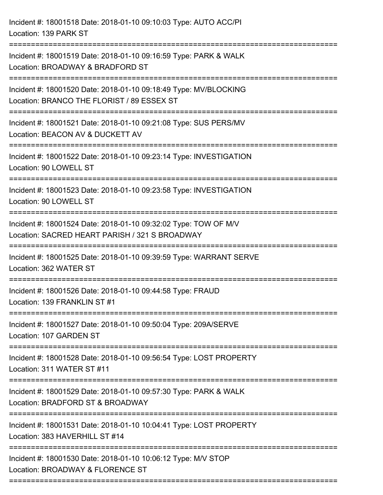Incident #: 18001518 Date: 2018-01-10 09:10:03 Type: AUTO ACC/PI Location: 139 PARK ST =========================================================================== Incident #: 18001519 Date: 2018-01-10 09:16:59 Type: PARK & WALK Location: BROADWAY & BRADFORD ST =========================================================================== Incident #: 18001520 Date: 2018-01-10 09:18:49 Type: MV/BLOCKING Location: BRANCO THE FLORIST / 89 ESSEX ST =========================================================================== Incident #: 18001521 Date: 2018-01-10 09:21:08 Type: SUS PERS/MV Location: BEACON AV & DUCKETT AV =========================================================================== Incident #: 18001522 Date: 2018-01-10 09:23:14 Type: INVESTIGATION Location: 90 LOWELL ST =========================================================================== Incident #: 18001523 Date: 2018-01-10 09:23:58 Type: INVESTIGATION Location: 90 LOWELL ST =========================================================================== Incident #: 18001524 Date: 2018-01-10 09:32:02 Type: TOW OF M/V Location: SACRED HEART PARISH / 321 S BROADWAY =========================================================================== Incident #: 18001525 Date: 2018-01-10 09:39:59 Type: WARRANT SERVE Location: 362 WATER ST =========================================================================== Incident #: 18001526 Date: 2018-01-10 09:44:58 Type: FRAUD Location: 139 FRANKLIN ST #1 =========================================================================== Incident #: 18001527 Date: 2018-01-10 09:50:04 Type: 209A/SERVE Location: 107 GARDEN ST =========================================================================== Incident #: 18001528 Date: 2018-01-10 09:56:54 Type: LOST PROPERTY Location: 311 WATER ST #11 =========================================================================== Incident #: 18001529 Date: 2018-01-10 09:57:30 Type: PARK & WALK Location: BRADFORD ST & BROADWAY =========================================================================== Incident #: 18001531 Date: 2018-01-10 10:04:41 Type: LOST PROPERTY Location: 383 HAVERHILL ST #14 =========================================================================== Incident #: 18001530 Date: 2018-01-10 10:06:12 Type: M/V STOP Location: BROADWAY & FLORENCE ST ===========================================================================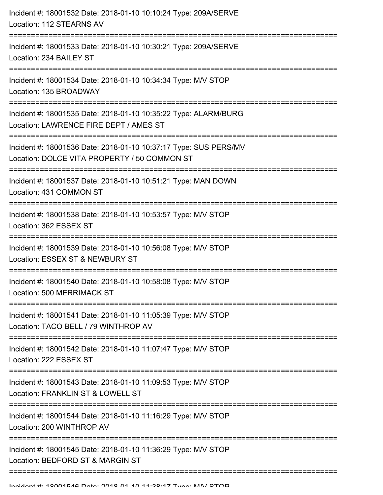| Incident #: 18001532 Date: 2018-01-10 10:10:24 Type: 209A/SERVE<br>Location: 112 STEARNS AV                                                     |
|-------------------------------------------------------------------------------------------------------------------------------------------------|
| ======================<br>Incident #: 18001533 Date: 2018-01-10 10:30:21 Type: 209A/SERVE<br>Location: 234 BAILEY ST                            |
| Incident #: 18001534 Date: 2018-01-10 10:34:34 Type: M/V STOP<br>Location: 135 BROADWAY                                                         |
| Incident #: 18001535 Date: 2018-01-10 10:35:22 Type: ALARM/BURG<br>Location: LAWRENCE FIRE DEPT / AMES ST<br>---------------------------------- |
| Incident #: 18001536 Date: 2018-01-10 10:37:17 Type: SUS PERS/MV<br>Location: DOLCE VITA PROPERTY / 50 COMMON ST                                |
| Incident #: 18001537 Date: 2018-01-10 10:51:21 Type: MAN DOWN<br>Location: 431 COMMON ST                                                        |
| Incident #: 18001538 Date: 2018-01-10 10:53:57 Type: M/V STOP<br>Location: 362 ESSEX ST                                                         |
| Incident #: 18001539 Date: 2018-01-10 10:56:08 Type: M/V STOP<br>Location: ESSEX ST & NEWBURY ST                                                |
| Incident #: 18001540 Date: 2018-01-10 10:58:08 Type: M/V STOP<br>Location: 500 MERRIMACK ST                                                     |
| Incident #: 18001541 Date: 2018-01-10 11:05:39 Type: M/V STOP<br>Location: TACO BELL / 79 WINTHROP AV                                           |
| Incident #: 18001542 Date: 2018-01-10 11:07:47 Type: M/V STOP<br>Location: 222 ESSEX ST                                                         |
| Incident #: 18001543 Date: 2018-01-10 11:09:53 Type: M/V STOP<br>Location: FRANKLIN ST & LOWELL ST                                              |
| Incident #: 18001544 Date: 2018-01-10 11:16:29 Type: M/V STOP<br>Location: 200 WINTHROP AV                                                      |
| Incident #: 18001545 Date: 2018-01-10 11:36:29 Type: M/V STOP<br>Location: BEDFORD ST & MARGIN ST                                               |
|                                                                                                                                                 |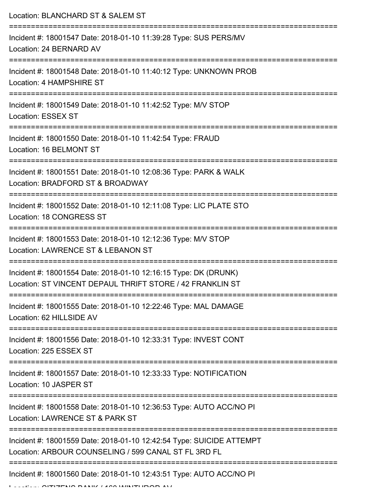Location: BLANCHARD ST & SALEM ST =========================================================================== Incident #: 18001547 Date: 2018-01-10 11:39:28 Type: SUS PERS/MV Location: 24 BERNARD AV =========================================================================== Incident #: 18001548 Date: 2018-01-10 11:40:12 Type: UNKNOWN PROB Location: 4 HAMPSHIRE ST =========================================================================== Incident #: 18001549 Date: 2018-01-10 11:42:52 Type: M/V STOP Location: ESSEX ST =========================================================================== Incident #: 18001550 Date: 2018-01-10 11:42:54 Type: FRAUD Location: 16 BELMONT ST =========================================================================== Incident #: 18001551 Date: 2018-01-10 12:08:36 Type: PARK & WALK Location: BRADFORD ST & BROADWAY =========================================================================== Incident #: 18001552 Date: 2018-01-10 12:11:08 Type: LIC PLATE STO Location: 18 CONGRESS ST =========================================================================== Incident #: 18001553 Date: 2018-01-10 12:12:36 Type: M/V STOP Location: LAWRENCE ST & LEBANON ST =========================================================================== Incident #: 18001554 Date: 2018-01-10 12:16:15 Type: DK (DRUNK) Location: ST VINCENT DEPAUL THRIFT STORE / 42 FRANKLIN ST =========================================================================== Incident #: 18001555 Date: 2018-01-10 12:22:46 Type: MAL DAMAGE Location: 62 HILLSIDE AV =========================================================================== Incident #: 18001556 Date: 2018-01-10 12:33:31 Type: INVEST CONT Location: 225 ESSEX ST =========================================================================== Incident #: 18001557 Date: 2018-01-10 12:33:33 Type: NOTIFICATION Location: 10 JASPER ST =========================================================================== Incident #: 18001558 Date: 2018-01-10 12:36:53 Type: AUTO ACC/NO PI Location: LAWRENCE ST & PARK ST =========================================================================== Incident #: 18001559 Date: 2018-01-10 12:42:54 Type: SUICIDE ATTEMPT Location: ARBOUR COUNSELING / 599 CANAL ST FL 3RD FL =========================================================================== Incident #: 18001560 Date: 2018-01-10 12:43:51 Type: AUTO ACC/NO PI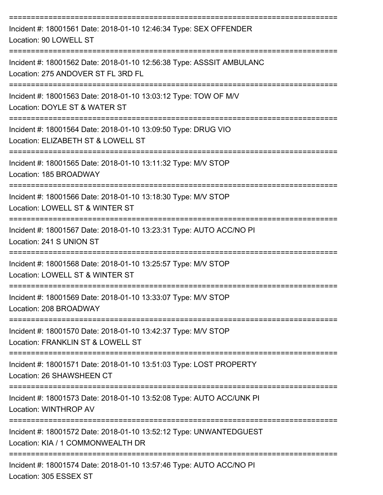| Incident #: 18001561 Date: 2018-01-10 12:46:34 Type: SEX OFFENDER<br>Location: 90 LOWELL ST                      |
|------------------------------------------------------------------------------------------------------------------|
| Incident #: 18001562 Date: 2018-01-10 12:56:38 Type: ASSSIT AMBULANC<br>Location: 275 ANDOVER ST FL 3RD FL       |
| Incident #: 18001563 Date: 2018-01-10 13:03:12 Type: TOW OF M/V<br>Location: DOYLE ST & WATER ST                 |
| Incident #: 18001564 Date: 2018-01-10 13:09:50 Type: DRUG VIO<br>Location: ELIZABETH ST & LOWELL ST              |
| Incident #: 18001565 Date: 2018-01-10 13:11:32 Type: M/V STOP<br>Location: 185 BROADWAY                          |
| Incident #: 18001566 Date: 2018-01-10 13:18:30 Type: M/V STOP<br>Location: LOWELL ST & WINTER ST                 |
| Incident #: 18001567 Date: 2018-01-10 13:23:31 Type: AUTO ACC/NO PI<br>Location: 241 S UNION ST                  |
| Incident #: 18001568 Date: 2018-01-10 13:25:57 Type: M/V STOP<br>Location: LOWELL ST & WINTER ST                 |
| Incident #: 18001569 Date: 2018-01-10 13:33:07 Type: M/V STOP<br>Location: 208 BROADWAY                          |
| Incident #: 18001570 Date: 2018-01-10 13:42:37 Type: M/V STOP<br>Location: FRANKLIN ST & LOWELL ST               |
| Incident #: 18001571 Date: 2018-01-10 13:51:03 Type: LOST PROPERTY<br>Location: 26 SHAWSHEEN CT                  |
| ===============<br>Incident #: 18001573 Date: 2018-01-10 13:52:08 Type: AUTO ACC/UNK PI<br>Location: WINTHROP AV |
| Incident #: 18001572 Date: 2018-01-10 13:52:12 Type: UNWANTEDGUEST<br>Location: KIA / 1 COMMONWEALTH DR          |
| Incident #: 18001574 Date: 2018-01-10 13:57:46 Type: AUTO ACC/NO PI<br>Location: 305 ESSEX ST                    |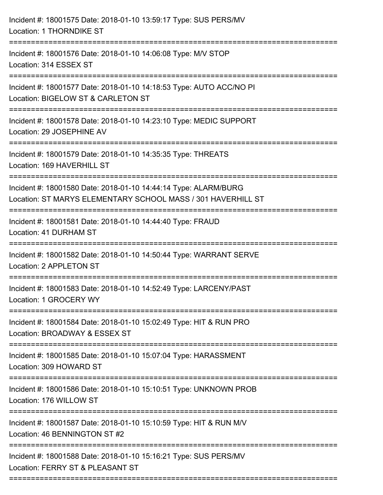| Incident #: 18001576 Date: 2018-01-10 14:06:08 Type: M/V STOP<br>Location: 314 ESSEX ST                                         |
|---------------------------------------------------------------------------------------------------------------------------------|
| Incident #: 18001577 Date: 2018-01-10 14:18:53 Type: AUTO ACC/NO PI<br>Location: BIGELOW ST & CARLETON ST                       |
| Incident #: 18001578 Date: 2018-01-10 14:23:10 Type: MEDIC SUPPORT<br>Location: 29 JOSEPHINE AV                                 |
| Incident #: 18001579 Date: 2018-01-10 14:35:35 Type: THREATS<br>Location: 169 HAVERHILL ST                                      |
| Incident #: 18001580 Date: 2018-01-10 14:44:14 Type: ALARM/BURG<br>Location: ST MARYS ELEMENTARY SCHOOL MASS / 301 HAVERHILL ST |
| Incident #: 18001581 Date: 2018-01-10 14:44:40 Type: FRAUD<br>Location: 41 DURHAM ST                                            |
| Incident #: 18001582 Date: 2018-01-10 14:50:44 Type: WARRANT SERVE<br>Location: 2 APPLETON ST                                   |
| Incident #: 18001583 Date: 2018-01-10 14:52:49 Type: LARCENY/PAST<br>Location: 1 GROCERY WY                                     |
| Incident #: 18001584 Date: 2018-01-10 15:02:49 Type: HIT & RUN PRO<br>Location: BROADWAY & ESSEX ST                             |
| Incident #: 18001585 Date: 2018-01-10 15:07:04 Type: HARASSMENT<br>Location: 309 HOWARD ST                                      |
| Incident #: 18001586 Date: 2018-01-10 15:10:51 Type: UNKNOWN PROB<br>Location: 176 WILLOW ST                                    |
| Incident #: 18001587 Date: 2018-01-10 15:10:59 Type: HIT & RUN M/V<br>Location: 46 BENNINGTON ST #2                             |
| Incident #: 18001588 Date: 2018-01-10 15:16:21 Type: SUS PERS/MV<br>Location: FERRY ST & PLEASANT ST                            |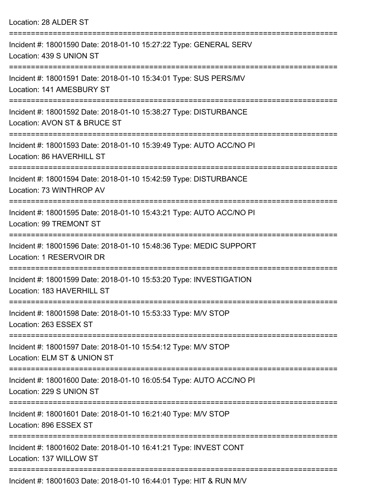| Location: 28 ALDER ST                                                                                                   |
|-------------------------------------------------------------------------------------------------------------------------|
| Incident #: 18001590 Date: 2018-01-10 15:27:22 Type: GENERAL SERV<br>Location: 439 S UNION ST                           |
| ======================<br>Incident #: 18001591 Date: 2018-01-10 15:34:01 Type: SUS PERS/MV<br>Location: 141 AMESBURY ST |
| Incident #: 18001592 Date: 2018-01-10 15:38:27 Type: DISTURBANCE<br>Location: AVON ST & BRUCE ST                        |
| Incident #: 18001593 Date: 2018-01-10 15:39:49 Type: AUTO ACC/NO PI<br>Location: 86 HAVERHILL ST                        |
| Incident #: 18001594 Date: 2018-01-10 15:42:59 Type: DISTURBANCE<br>Location: 73 WINTHROP AV                            |
| Incident #: 18001595 Date: 2018-01-10 15:43:21 Type: AUTO ACC/NO PI<br>Location: 99 TREMONT ST                          |
| Incident #: 18001596 Date: 2018-01-10 15:48:36 Type: MEDIC SUPPORT<br>Location: 1 RESERVOIR DR                          |
| Incident #: 18001599 Date: 2018-01-10 15:53:20 Type: INVESTIGATION<br>Location: 183 HAVERHILL ST                        |
| Incident #: 18001598 Date: 2018-01-10 15:53:33 Type: M/V STOP<br>Location: 263 ESSEX ST                                 |
| Incident #: 18001597 Date: 2018-01-10 15:54:12 Type: M/V STOP<br>Location: ELM ST & UNION ST                            |
| Incident #: 18001600 Date: 2018-01-10 16:05:54 Type: AUTO ACC/NO PI<br>Location: 229 S UNION ST                         |
| Incident #: 18001601 Date: 2018-01-10 16:21:40 Type: M/V STOP<br>Location: 896 ESSEX ST                                 |
| Incident #: 18001602 Date: 2018-01-10 16:41:21 Type: INVEST CONT<br>Location: 137 WILLOW ST                             |
| Incident #: 18001603 Date: 2018-01-10 16:44:01 Type: HIT & RUN M/V                                                      |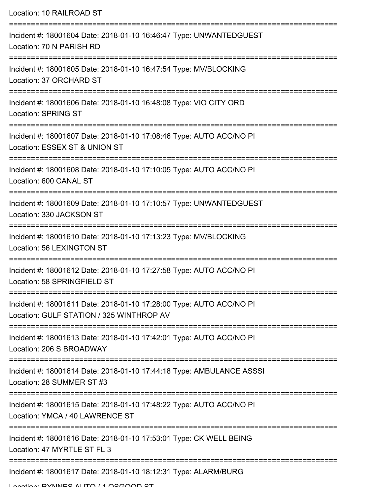| Location: 10 RAILROAD ST                                                                                                                                                              |
|---------------------------------------------------------------------------------------------------------------------------------------------------------------------------------------|
| Incident #: 18001604 Date: 2018-01-10 16:46:47 Type: UNWANTEDGUEST<br>Location: 70 N PARISH RD                                                                                        |
| Incident #: 18001605 Date: 2018-01-10 16:47:54 Type: MV/BLOCKING<br>Location: 37 ORCHARD ST                                                                                           |
| Incident #: 18001606 Date: 2018-01-10 16:48:08 Type: VIO CITY ORD<br><b>Location: SPRING ST</b>                                                                                       |
| Incident #: 18001607 Date: 2018-01-10 17:08:46 Type: AUTO ACC/NO PI<br>Location: ESSEX ST & UNION ST                                                                                  |
| Incident #: 18001608 Date: 2018-01-10 17:10:05 Type: AUTO ACC/NO PI<br>Location: 600 CANAL ST                                                                                         |
| Incident #: 18001609 Date: 2018-01-10 17:10:57 Type: UNWANTEDGUEST<br>Location: 330 JACKSON ST                                                                                        |
| Incident #: 18001610 Date: 2018-01-10 17:13:23 Type: MV/BLOCKING<br>Location: 56 LEXINGTON ST                                                                                         |
| ---------------------<br>Incident #: 18001612 Date: 2018-01-10 17:27:58 Type: AUTO ACC/NO PI<br>Location: 58 SPRINGFIELD ST                                                           |
| ==================================<br>============================<br>Incident #: 18001611 Date: 2018-01-10 17:28:00 Type: AUTO ACC/NO PI<br>Location: GULF STATION / 325 WINTHROP AV |
| Incident #: 18001613 Date: 2018-01-10 17:42:01 Type: AUTO ACC/NO PI<br>Location: 206 S BROADWAY                                                                                       |
| Incident #: 18001614 Date: 2018-01-10 17:44:18 Type: AMBULANCE ASSSI<br>Location: 28 SUMMER ST #3                                                                                     |
| Incident #: 18001615 Date: 2018-01-10 17:48:22 Type: AUTO ACC/NO PI<br>Location: YMCA / 40 LAWRENCE ST                                                                                |
| Incident #: 18001616 Date: 2018-01-10 17:53:01 Type: CK WELL BEING<br>Location: 47 MYRTLE ST FL 3                                                                                     |
| Incident #: 18001617 Date: 2018-01-10 18:12:31 Type: ALARM/BURG                                                                                                                       |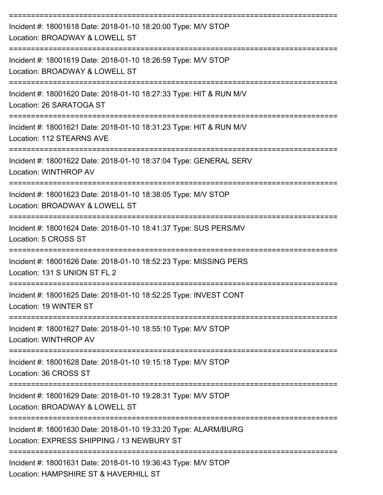| Incident #: 18001618 Date: 2018-01-10 18:20:00 Type: M/V STOP<br>Location: BROADWAY & LOWELL ST               |
|---------------------------------------------------------------------------------------------------------------|
| Incident #: 18001619 Date: 2018-01-10 18:26:59 Type: M/V STOP<br>Location: BROADWAY & LOWELL ST               |
| Incident #: 18001620 Date: 2018-01-10 18:27:33 Type: HIT & RUN M/V<br>Location: 26 SARATOGA ST                |
| Incident #: 18001621 Date: 2018-01-10 18:31:23 Type: HIT & RUN M/V<br>Location: 112 STEARNS AVE               |
| Incident #: 18001622 Date: 2018-01-10 18:37:04 Type: GENERAL SERV<br>Location: WINTHROP AV                    |
| Incident #: 18001623 Date: 2018-01-10 18:38:05 Type: M/V STOP<br>Location: BROADWAY & LOWELL ST               |
| Incident #: 18001624 Date: 2018-01-10 18:41:37 Type: SUS PERS/MV<br>Location: 5 CROSS ST                      |
| Incident #: 18001626 Date: 2018-01-10 18:52:23 Type: MISSING PERS<br>Location: 131 S UNION ST FL 2            |
| Incident #: 18001625 Date: 2018-01-10 18:52:25 Type: INVEST CONT<br>Location: 19 WINTER ST                    |
| Incident #: 18001627 Date: 2018-01-10 18:55:10 Type: M/V STOP<br>Location: WINTHROP AV                        |
| Incident #: 18001628 Date: 2018-01-10 19:15:18 Type: M/V STOP<br>Location: 36 CROSS ST                        |
| Incident #: 18001629 Date: 2018-01-10 19:28:31 Type: M/V STOP<br>Location: BROADWAY & LOWELL ST               |
| Incident #: 18001630 Date: 2018-01-10 19:33:20 Type: ALARM/BURG<br>Location: EXPRESS SHIPPING / 13 NEWBURY ST |
| Incident #: 18001631 Date: 2018-01-10 19:36:43 Type: M/V STOP<br>Location: HAMPSHIRE ST & HAVERHILL ST        |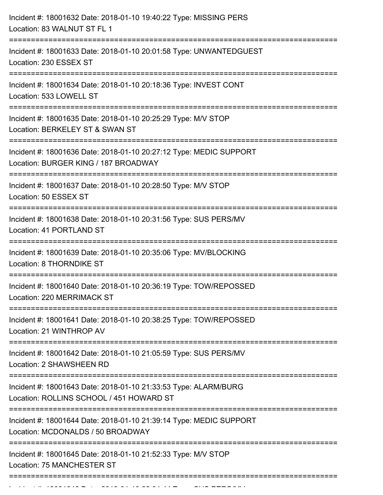| Incident #: 18001632 Date: 2018-01-10 19:40:22 Type: MISSING PERS<br>Location: 83 WALNUT ST FL 1            |
|-------------------------------------------------------------------------------------------------------------|
| Incident #: 18001633 Date: 2018-01-10 20:01:58 Type: UNWANTEDGUEST<br>Location: 230 ESSEX ST                |
| Incident #: 18001634 Date: 2018-01-10 20:18:36 Type: INVEST CONT<br>Location: 533 LOWELL ST                 |
| Incident #: 18001635 Date: 2018-01-10 20:25:29 Type: M/V STOP<br>Location: BERKELEY ST & SWAN ST            |
| Incident #: 18001636 Date: 2018-01-10 20:27:12 Type: MEDIC SUPPORT<br>Location: BURGER KING / 187 BROADWAY  |
| Incident #: 18001637 Date: 2018-01-10 20:28:50 Type: M/V STOP<br>Location: 50 ESSEX ST                      |
| Incident #: 18001638 Date: 2018-01-10 20:31:56 Type: SUS PERS/MV<br>Location: 41 PORTLAND ST                |
| Incident #: 18001639 Date: 2018-01-10 20:35:06 Type: MV/BLOCKING<br><b>Location: 8 THORNDIKE ST</b>         |
| Incident #: 18001640 Date: 2018-01-10 20:36:19 Type: TOW/REPOSSED<br>Location: 220 MERRIMACK ST             |
| Incident #: 18001641 Date: 2018-01-10 20:38:25 Type: TOW/REPOSSED<br>Location: 21 WINTHROP AV               |
| Incident #: 18001642 Date: 2018-01-10 21:05:59 Type: SUS PERS/MV<br>Location: 2 SHAWSHEEN RD                |
| Incident #: 18001643 Date: 2018-01-10 21:33:53 Type: ALARM/BURG<br>Location: ROLLINS SCHOOL / 451 HOWARD ST |
| Incident #: 18001644 Date: 2018-01-10 21:39:14 Type: MEDIC SUPPORT<br>Location: MCDONALDS / 50 BROADWAY     |
| Incident #: 18001645 Date: 2018-01-10 21:52:33 Type: M/V STOP<br>Location: 75 MANCHESTER ST                 |
|                                                                                                             |

Incident #: 18001646 Date: 2018 01 10 22:04:44 Type: SUS PERS/MV